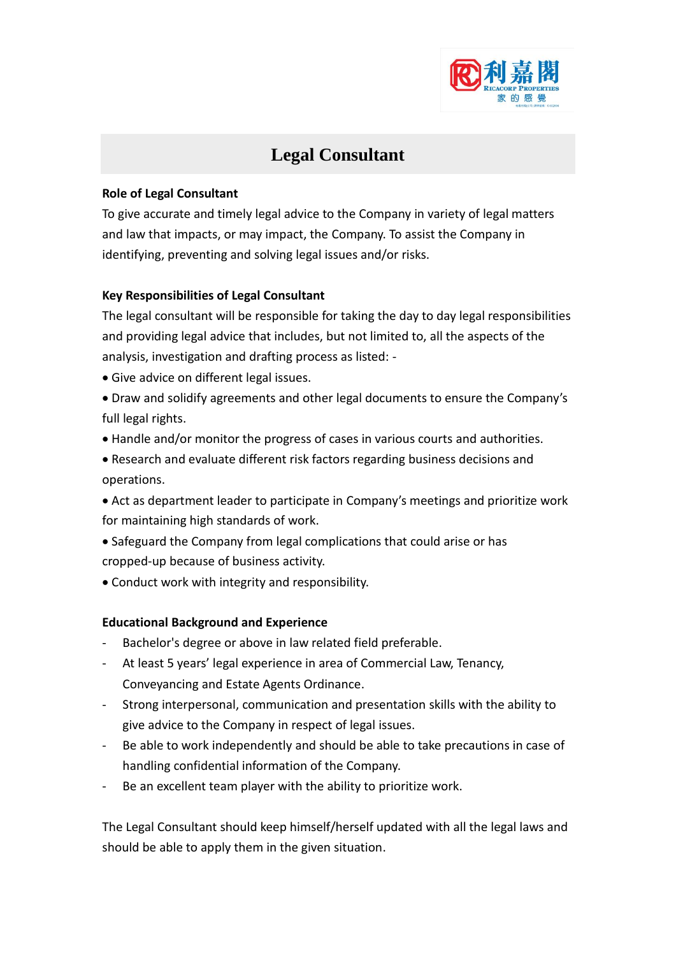

# **Legal Consultant**

### **Role of Legal Consultant**

To give accurate and timely legal advice to the Company in variety of legal matters and law that impacts, or may impact, the Company. To assist the Company in identifying, preventing and solving legal issues and/or risks.

#### **Key Responsibilities of Legal Consultant**

The legal consultant will be responsible for taking the day to day legal responsibilities and providing legal advice that includes, but not limited to, all the aspects of the analysis, investigation and drafting process as listed: -

- Give advice on different legal issues.
- Draw and solidify agreements and other legal documents to ensure the Company's full legal rights.
- Handle and/or monitor the progress of cases in various courts and authorities.
- Research and evaluate different risk factors regarding business decisions and operations.
- Act as department leader to participate in Company's meetings and prioritize work for maintaining high standards of work.
- Safeguard the Company from legal complications that could arise or has cropped-up because of business activity.
- Conduct work with integrity and responsibility.

#### **Educational Background and Experience**

- Bachelor's degree or above in law related field preferable.
- At least 5 years' legal experience in area of Commercial Law, Tenancy, Conveyancing and Estate Agents Ordinance.
- Strong interpersonal, communication and presentation skills with the ability to give advice to the Company in respect of legal issues.
- Be able to work independently and should be able to take precautions in case of handling confidential information of the Company.
- Be an excellent team player with the ability to prioritize work.

The Legal Consultant should keep himself/herself updated with all the legal laws and should be able to apply them in the given situation.